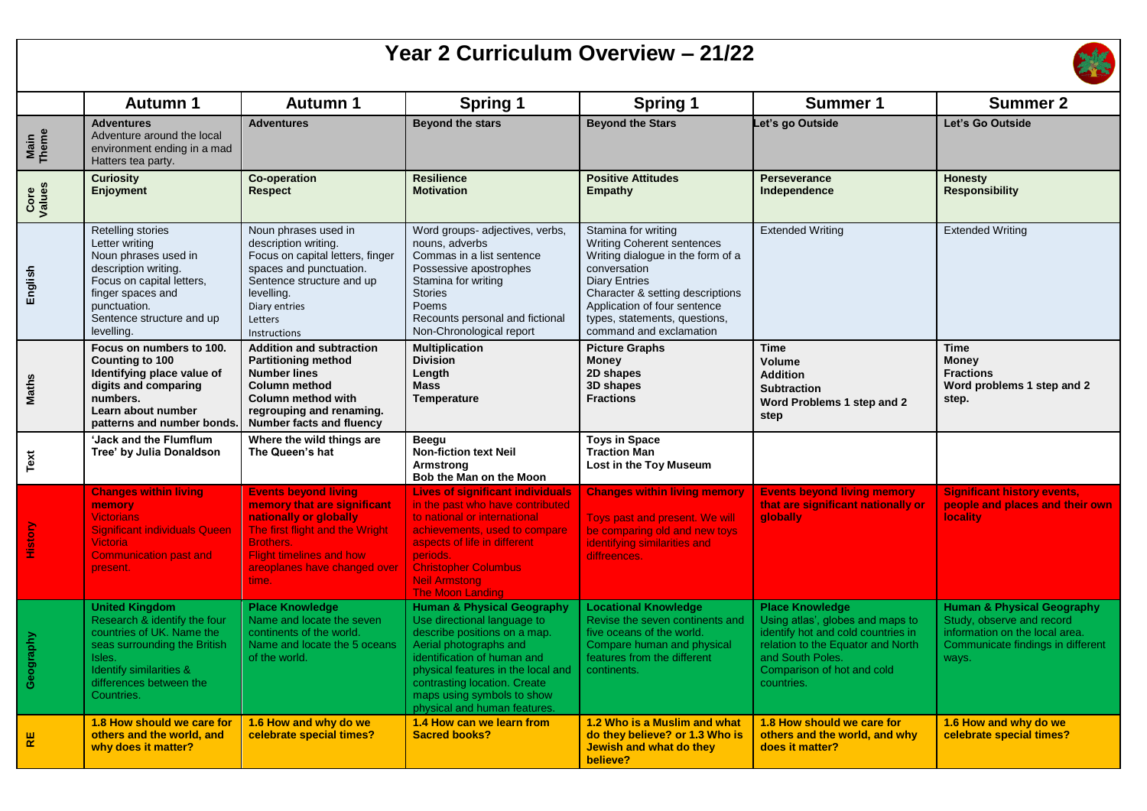## **Year 2 Curriculum Overview – 21/22**



|                | <b>Autumn 1</b>                                                                                                                                                                                  | <b>Autumn 1</b>                                                                                                                                                                                                         | <b>Spring 1</b>                                                                                                                                                                                                                                                                                   | <b>Spring 1</b>                                                                                                                                                                                                                                                       | <b>Summer 1</b>                                                                                                                                                                                       | <b>Summer 2</b>                                                                                                                                    |
|----------------|--------------------------------------------------------------------------------------------------------------------------------------------------------------------------------------------------|-------------------------------------------------------------------------------------------------------------------------------------------------------------------------------------------------------------------------|---------------------------------------------------------------------------------------------------------------------------------------------------------------------------------------------------------------------------------------------------------------------------------------------------|-----------------------------------------------------------------------------------------------------------------------------------------------------------------------------------------------------------------------------------------------------------------------|-------------------------------------------------------------------------------------------------------------------------------------------------------------------------------------------------------|----------------------------------------------------------------------------------------------------------------------------------------------------|
| Main<br>Theme  | <b>Adventures</b><br>Adventure around the local<br>environment ending in a mad<br>Hatters tea party.                                                                                             | <b>Adventures</b>                                                                                                                                                                                                       | <b>Beyond the stars</b>                                                                                                                                                                                                                                                                           | <b>Beyond the Stars</b>                                                                                                                                                                                                                                               | Let's go Outside                                                                                                                                                                                      | Let's Go Outside                                                                                                                                   |
| Core<br>Values | <b>Curiosity</b><br>Enjoyment                                                                                                                                                                    | <b>Co-operation</b><br><b>Respect</b>                                                                                                                                                                                   | <b>Resilience</b><br><b>Motivation</b>                                                                                                                                                                                                                                                            | <b>Positive Attitudes</b><br><b>Empathy</b>                                                                                                                                                                                                                           | <b>Perseverance</b><br>Independence                                                                                                                                                                   | <b>Honesty</b><br><b>Responsibility</b>                                                                                                            |
| English        | Retelling stories<br>Letter writing<br>Noun phrases used in<br>description writing.<br>Focus on capital letters.<br>finger spaces and<br>punctuation.<br>Sentence structure and up<br>levelling. | Noun phrases used in<br>description writing.<br>Focus on capital letters, finger<br>spaces and punctuation.<br>Sentence structure and up<br>levelling.<br>Diary entries<br>Letters<br>Instructions                      | Word groups- adjectives, verbs,<br>nouns, adverbs<br>Commas in a list sentence<br>Possessive apostrophes<br>Stamina for writing<br><b>Stories</b><br>Poems<br>Recounts personal and fictional<br>Non-Chronological report                                                                         | Stamina for writing<br><b>Writing Coherent sentences</b><br>Writing dialogue in the form of a<br>conversation<br><b>Diary Entries</b><br>Character & setting descriptions<br>Application of four sentence<br>types, statements, questions,<br>command and exclamation | <b>Extended Writing</b>                                                                                                                                                                               | <b>Extended Writing</b>                                                                                                                            |
| <b>Maths</b>   | Focus on numbers to 100.<br>Counting to 100<br>Identifying place value of<br>digits and comparing<br>numbers.<br>Learn about number<br>patterns and number bonds.                                | <b>Addition and subtraction</b><br><b>Partitioning method</b><br><b>Number lines</b><br><b>Column method</b><br>Column method with<br>regrouping and renaming.<br><b>Number facts and fluency</b>                       | <b>Multiplication</b><br><b>Division</b><br>Length<br><b>Mass</b><br><b>Temperature</b>                                                                                                                                                                                                           | <b>Picture Graphs</b><br><b>Money</b><br>2D shapes<br>3D shapes<br><b>Fractions</b>                                                                                                                                                                                   | <b>Time</b><br><b>Volume</b><br><b>Addition</b><br><b>Subtraction</b><br>Word Problems 1 step and 2<br>step                                                                                           | <b>Time</b><br><b>Money</b><br><b>Fractions</b><br>Word problems 1 step and 2<br>step.                                                             |
| Text           | 'Jack and the Flumflum<br>Tree' by Julia Donaldson                                                                                                                                               | Where the wild things are<br>The Queen's hat                                                                                                                                                                            | <b>Beegu</b><br><b>Non-fiction text Neil</b><br>Armstrong<br>Bob the Man on the Moon                                                                                                                                                                                                              | <b>Toys in Space</b><br><b>Traction Man</b><br>Lost in the Toy Museum                                                                                                                                                                                                 |                                                                                                                                                                                                       |                                                                                                                                                    |
| History        | <b>Changes within living</b><br>memory<br><b>Victorians</b><br><b>Significant individuals Queen</b><br><b>Victoria</b><br><b>Communication past and</b><br>present.                              | <b>Events beyond living</b><br>memory that are significant<br>nationally or globally<br>The first flight and the Wright<br><b>Brothers.</b><br><b>Flight timelines and how</b><br>areoplanes have changed over<br>time. | <b>Lives of significant individuals</b><br>in the past who have contributed<br>to national or international<br>achievements, used to compare<br>aspects of life in different<br>periods.<br><b>Christopher Columbus</b><br><b>Neil Armstong</b><br>The Moon Landing                               | <b>Changes within living memory</b><br>Toys past and present. We will<br>be comparing old and new toys<br>identifying similarities and<br>diffreences.                                                                                                                | <b>Events beyond living memory</b><br>that are significant nationally or<br>qlobally                                                                                                                  | <b>Significant history events,</b><br>people and places and their own<br><b>locality</b>                                                           |
| Geography      | <b>United Kingdom</b><br>Research & identify the four<br>countries of UK. Name the<br>seas surrounding the British<br>Isles.<br>Identify similarities &<br>differences between the<br>Countries. | <b>Place Knowledge</b><br>Name and locate the seven<br>continents of the world.<br>Name and locate the 5 oceans<br>of the world.                                                                                        | <b>Human &amp; Physical Geography</b><br>Use directional language to<br>describe positions on a map.<br>Aerial photographs and<br>identification of human and<br>physical features in the local and<br>contrasting location. Create<br>maps using symbols to show<br>physical and human features. | <b>Locational Knowledge</b><br>Revise the seven continents and<br>five oceans of the world.<br>Compare human and physical<br>features from the different<br>continents.                                                                                               | <b>Place Knowledge</b><br>Using atlas', globes and maps to<br>identify hot and cold countries in<br>relation to the Equator and North<br>and South Poles.<br>Comparison of hot and cold<br>countries. | <b>Human &amp; Physical Geography</b><br>Study, observe and record<br>information on the local area.<br>Communicate findings in different<br>ways. |
| 뿓              | 1.8 How should we care for<br>others and the world, and<br>why does it matter?                                                                                                                   | 1.6 How and why do we<br>celebrate special times?                                                                                                                                                                       | 1.4 How can we learn from<br><b>Sacred books?</b>                                                                                                                                                                                                                                                 | 1.2 Who is a Muslim and what<br>do they believe? or 1.3 Who is<br>Jewish and what do they<br>believe?                                                                                                                                                                 | 1.8 How should we care for<br>others and the world, and why<br>does it matter?                                                                                                                        | 1.6 How and why do we<br>celebrate special times?                                                                                                  |